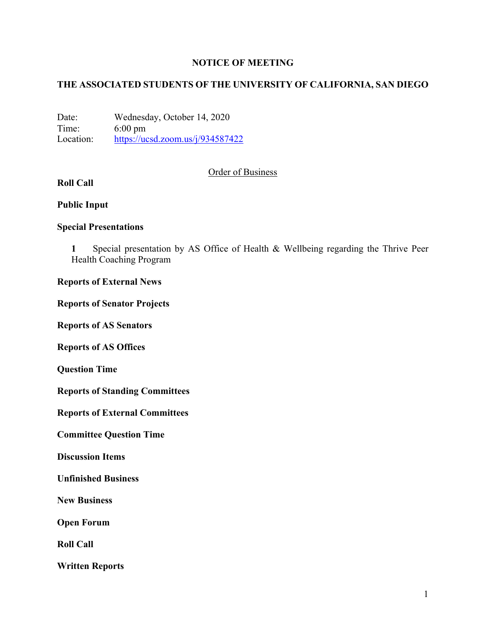### **NOTICE OF MEETING**

## **THE ASSOCIATED STUDENTS OF THE UNIVERSITY OF CALIFORNIA, SAN DIEGO**

Date: Wednesday, October 14, 2020 Time: 6:00 pm Location: https://ucsd.zoom.us/j/934587422

### Order of Business

# **Roll Call**

### **Public Input**

### **Special Presentations**

**1** Special presentation by AS Office of Health & Wellbeing regarding the Thrive Peer Health Coaching Program

### **Reports of External News**

#### **Reports of Senator Projects**

**Reports of AS Senators**

**Reports of AS Offices**

**Question Time**

**Reports of Standing Committees**

**Reports of External Committees**

**Committee Question Time**

**Discussion Items**

**Unfinished Business**

**New Business**

**Open Forum**

**Roll Call**

**Written Reports**